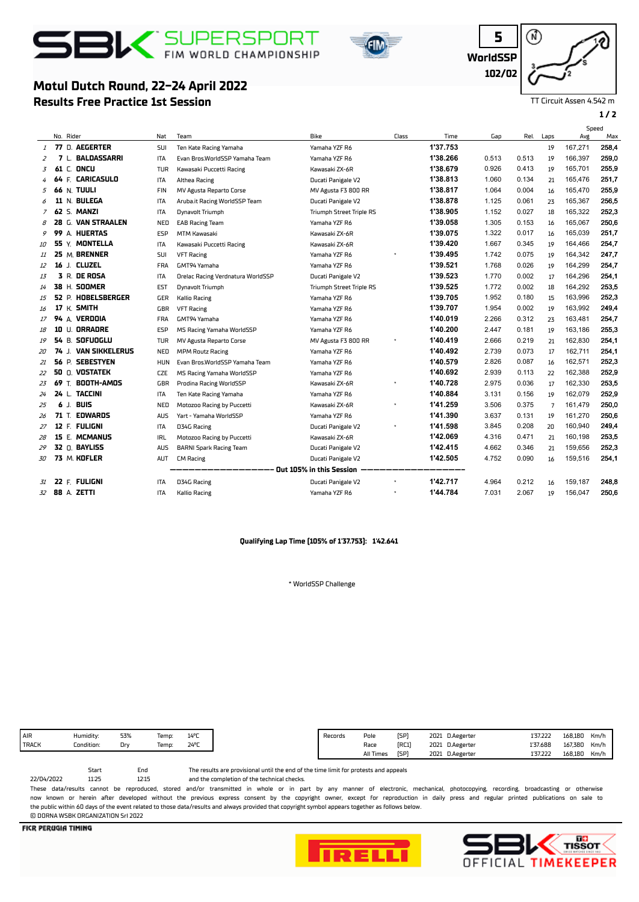# $S<sub>1</sub>$  SUPERSPORT

**Results Free Practice 1st Session**

**Motul Dutch Round, 22-24 April 2022**





TT Circuit Assen 4.542 m

**1 / 2**

|                            |    |           |                       |            |                                   |                                 |       |          |       | Speed |                |         |       |
|----------------------------|----|-----------|-----------------------|------------|-----------------------------------|---------------------------------|-------|----------|-------|-------|----------------|---------|-------|
|                            |    | No. Rider |                       | Nat        | Team                              | Bike                            | Class | Time     | Gap   | Rel.  | Laps           | Avg     | Max   |
| 1                          |    |           | 77 D. AEGERTER        | <b>SUI</b> | Ten Kate Racing Yamaha            | Yamaha YZF R6                   |       | 1'37.753 |       |       | 19             | 167,271 | 258,4 |
| 2                          |    |           | 7 L. BALDASSARRI      | ITA        | Evan Bros.WorldSSP Yamaha Team    | Yamaha YZF R6                   |       | 1'38.266 | 0.513 | 0.513 | 19             | 166,397 | 259,0 |
| 3                          |    |           | $61 \subset$ ONCU     | TUR        | Kawasaki Puccetti Racing          | Kawasaki ZX-6R                  |       | 1'38.679 | 0.926 | 0.413 | 19             | 165,701 | 255,9 |
| 4                          |    |           | 64 F. CARICASULO      | ITA        | Althea Racing                     | Ducati Panigale V2              |       | 1'38.813 | 1.060 | 0.134 | 21             | 165,476 | 251,7 |
| 5                          |    |           | <b>66 N. TUULI</b>    | <b>FIN</b> | MV Agusta Reparto Corse           | MV Agusta F3 800 RR             |       | 1'38.817 | 1.064 | 0.004 | 16             | 165,470 | 255,9 |
| 6                          |    |           | 11 N. BULEGA          | <b>ITA</b> | Aruba.it Racing WorldSSP Team     | Ducati Panigale V2              |       | 1'38.878 | 1.125 | 0.061 | 23             | 165,367 | 256,5 |
| 7                          |    |           | <b>62 S. MANZI</b>    | <b>ITA</b> | Dynavolt Triumph                  | <b>Triumph Street Triple RS</b> |       | 1'38.905 | 1.152 | 0.027 | 18             | 165.322 | 252,3 |
| 8                          |    |           | 28 G. VAN STRAALEN    | NED        | <b>EAB Racing Team</b>            | Yamaha YZF R6                   |       | 1'39.058 | 1.305 | 0.153 | 16             | 165,067 | 250,6 |
| 9                          |    |           | 99 A. HUERTAS         | <b>ESP</b> | <b>MTM Kawasaki</b>               | Kawasaki ZX-6R                  |       | 1'39.075 | 1.322 | 0.017 | 16             | 165,039 | 251,7 |
| 10                         |    |           | 55 Y. MONTELLA        | <b>ITA</b> | Kawasaki Puccetti Racing          | Kawasaki ZX-6R                  |       | 1'39.420 | 1.667 | 0.345 | 19             | 164,466 | 254,7 |
| 11                         |    |           | 25 M. BRENNER         | <b>SUI</b> | <b>VFT Racing</b>                 | Yamaha YZF R6                   |       | 1'39.495 | 1.742 | 0.075 | 19             | 164,342 | 247,7 |
| 12                         |    |           | 16 J. CLUZEL          | <b>FRA</b> | GMT94 Yamaha                      | Yamaha YZF R6                   |       | 1'39.521 | 1.768 | 0.026 | 19             | 164,299 | 254,7 |
| 13                         |    |           | <b>3 R. DE ROSA</b>   | <b>ITA</b> | Orelac Racing Verdnatura WorldSSP | Ducati Panigale V2              |       | 1'39.523 | 1.770 | 0.002 | 17             | 164,296 | 254,1 |
| 14                         |    |           | 38 H. SOOMER          | EST        | Dynavolt Triumph                  | <b>Triumph Street Triple RS</b> |       | 1'39.525 | 1.772 | 0.002 | 18             | 164,292 | 253,5 |
| 15                         |    |           | 52 P. HOBELSBERGER    | GER        | <b>Kallio Racing</b>              | Yamaha YZF R6                   |       | 1'39.705 | 1.952 | 0.180 | 15             | 163,996 | 252,3 |
| 16                         |    |           | 17 K. SMITH           | GBR        | <b>VFT Racing</b>                 | Yamaha YZF R6                   |       | 1'39.707 | 1.954 | 0.002 | 19             | 163.992 | 249,4 |
| 17                         |    |           | 94 A. VERDOIA         | <b>FRA</b> | GMT94 Yamaha                      | Yamaha YZF R6                   |       | 1'40.019 | 2.266 | 0.312 | 23             | 163,481 | 254,7 |
| 18                         |    |           | 10 U. ORRADRE         | <b>ESP</b> | MS Racing Yamaha WorldSSP         | Yamaha YZF R6                   |       | 1'40.200 | 2.447 | 0.181 | 19             | 163.186 | 255,3 |
| 19                         |    |           | 54 B. SOFUOGLU        | <b>TUR</b> | MV Agusta Reparto Corse           | MV Agusta F3 800 RR             |       | 1'40.419 | 2.666 | 0.219 | 21             | 162,830 | 254,1 |
| 20                         |    |           | 74 J. VAN SIKKELERUS  | NED        | <b>MPM Routz Racing</b>           | Yamaha YZF R6                   |       | 1'40.492 | 2.739 | 0.073 | 17             | 162,711 | 254.1 |
| 21                         |    |           | 56 P. SEBESTYEN       | <b>HUN</b> | Evan Bros.WorldSSP Yamaha Team    | Yamaha YZF R6                   |       | 1'40.579 | 2.826 | 0.087 | 16             | 162,571 | 252,3 |
| 22                         |    |           | <b>50 O. VOSTATEK</b> | CZE        | MS Racing Yamaha WorldSSP         | Yamaha YZF R6                   |       | 1'40.692 | 2.939 | 0.113 | 22             | 162,388 | 252,9 |
| 23                         | 69 |           | T. BOOTH-AMOS         | GBR        | Prodina Racing WorldSSP           | Kawasaki ZX-6R                  |       | 1'40.728 | 2.975 | 0.036 | 17             | 162,330 | 253,5 |
| 24                         |    |           | 24 L. TACCINI         | <b>ITA</b> | Ten Kate Racing Yamaha            | Yamaha YZF R6                   |       | 1'40.884 | 3.131 | 0.156 | 19             | 162,079 | 252,9 |
| 25                         |    |           | 6 J. BUIS             | NED        | Motozoo Racing by Puccetti        | Kawasaki ZX-6R                  |       | 1'41.259 | 3.506 | 0.375 | $\overline{7}$ | 161,479 | 250,0 |
| 26                         |    |           | 71 T. EDWARDS         | <b>AUS</b> | Yart - Yamaha WorldSSP            | Yamaha YZF R6                   |       | 1'41.390 | 3.637 | 0.131 | 19             | 161,270 | 250,6 |
| 27                         |    |           | 12 F. FULIGNI         | <b>ITA</b> | D34G Racing                       | Ducati Panigale V2              |       | 1'41.598 | 3.845 | 0.208 | 20             | 160,940 | 249,4 |
| 28                         |    |           | 15 E. MCMANUS         | IRL        | Motozoo Racing by Puccetti        | Kawasaki ZX-6R                  |       | 1'42.069 | 4.316 | 0.471 | 21             | 160,198 | 253,5 |
| 29                         |    |           | 32 0. BAYLISS         | <b>AUS</b> | <b>BARNI Spark Racing Team</b>    | Ducati Panigale V2              |       | 1'42.415 | 4.662 | 0.346 | 21             | 159,656 | 252,3 |
| 30                         |    |           | 73 M. KOFLER          | AUT        | <b>CM Racing</b>                  | Ducati Panigale V2              |       | 1'42.505 | 4.752 | 0.090 | 16             | 159,516 | 254,1 |
| - Out 105% in this Session |    |           |                       |            |                                   |                                 |       |          |       |       |                |         |       |
| 31                         |    |           | 22 F. FULIGNI         | <b>ITA</b> | D34G Racing                       | Ducati Panigale V2              |       | 1'42.717 | 4.964 | 0.212 | 16             | 159,187 | 248,8 |
|                            |    |           | 32 88 A. ZETTI        | <b>ITA</b> | <b>Kallio Racing</b>              | Yamaha YZF R6                   |       | 1'44.784 | 7.031 | 2.067 | 19             | 156,047 | 250,6 |
|                            |    |           |                       |            |                                   |                                 |       |          |       |       |                |         |       |

### **Qualifying Lap Time (105% of 1'37.753): 1'42.641**

\* WorldSSP Challenge

|              | Humidity:  | 53% | Temp: | $14^{\circ}$ C |
|--------------|------------|-----|-------|----------------|
| <b>TRACK</b> | Condition: | Dr۱ | Temp: | 24°C           |
|              |            |     |       |                |

Start End<br>11:25 12:15

and the completion of the technical checks. The results are provisional until the end of the time limit for protests and appeals

12:15 22/04/2022 These data/results cannot be reproduced, stored and/or transmitted in whole or in part by any manner of electronic, mechanical, photocopying, recording, broadcasting or otherwise now known or herein afer developed without the previous express consent by the copyright owner, except for reproduction in daily press and regular printed publications on sale to the public within 60 days of the event related to those data/results and always provided that copyright symbol appears together as follows below. © DORNA WSBK ORGANIZATION Srl 2022

**FICR PERUGIA TIMING**